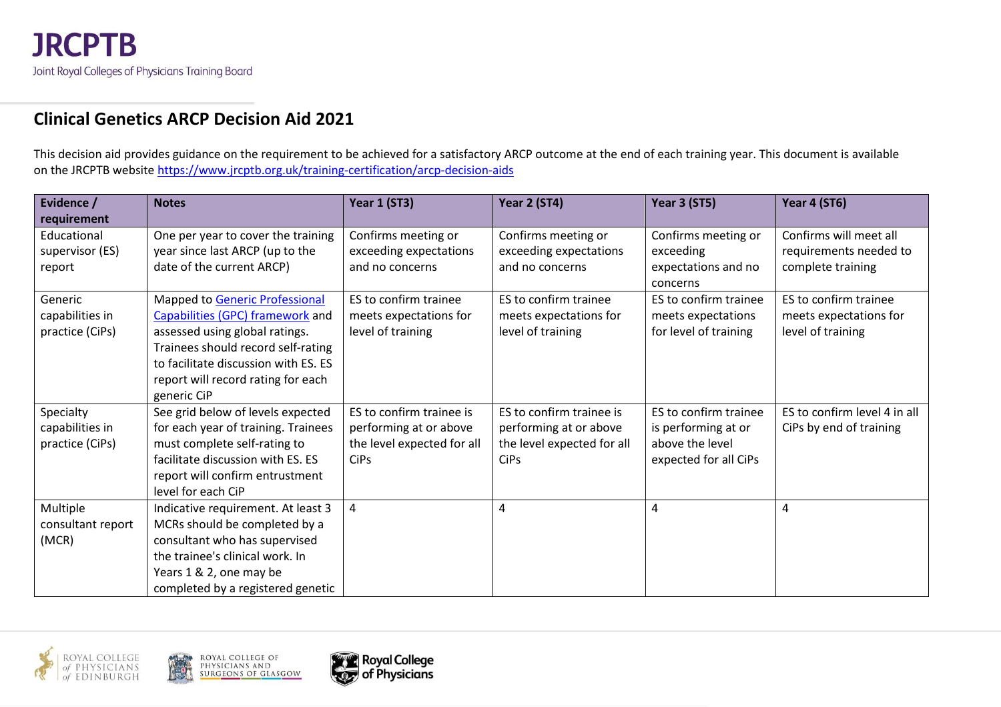## **Clinical Genetics ARCP Decision Aid 2021**

This decision aid provides guidance on the requirement to be achieved for a satisfactory ARCP outcome at the end of each training year. This document is available on the JRCPTB website<https://www.jrcptb.org.uk/training-certification/arcp-decision-aids>

| Evidence /<br>requirement                       | <b>Notes</b>                                                                                                                                                                                                                            | <b>Year 1 (ST3)</b>                                                                             | Year 2 (ST4)                                                                                    | Year 3 (ST5)                                                                             | Year 4 (ST6)                                                          |
|-------------------------------------------------|-----------------------------------------------------------------------------------------------------------------------------------------------------------------------------------------------------------------------------------------|-------------------------------------------------------------------------------------------------|-------------------------------------------------------------------------------------------------|------------------------------------------------------------------------------------------|-----------------------------------------------------------------------|
| Educational<br>supervisor (ES)<br>report        | One per year to cover the training<br>year since last ARCP (up to the<br>date of the current ARCP)                                                                                                                                      | Confirms meeting or<br>exceeding expectations<br>and no concerns                                | Confirms meeting or<br>exceeding expectations<br>and no concerns                                | Confirms meeting or<br>exceeding<br>expectations and no<br>concerns                      | Confirms will meet all<br>requirements needed to<br>complete training |
| Generic<br>capabilities in<br>practice (CiPs)   | Mapped to Generic Professional<br>Capabilities (GPC) framework and<br>assessed using global ratings.<br>Trainees should record self-rating<br>to facilitate discussion with ES. ES<br>report will record rating for each<br>generic CiP | ES to confirm trainee<br>meets expectations for<br>level of training                            | ES to confirm trainee<br>meets expectations for<br>level of training                            | ES to confirm trainee<br>meets expectations<br>for level of training                     | ES to confirm trainee<br>meets expectations for<br>level of training  |
| Specialty<br>capabilities in<br>practice (CiPs) | See grid below of levels expected<br>for each year of training. Trainees<br>must complete self-rating to<br>facilitate discussion with ES. ES<br>report will confirm entrustment<br>level for each CiP                                  | ES to confirm trainee is<br>performing at or above<br>the level expected for all<br><b>CiPs</b> | ES to confirm trainee is<br>performing at or above<br>the level expected for all<br><b>CiPs</b> | ES to confirm trainee<br>is performing at or<br>above the level<br>expected for all CiPs | ES to confirm level 4 in all<br>CiPs by end of training               |
| Multiple<br>consultant report<br>(MCR)          | Indicative requirement. At least 3<br>MCRs should be completed by a<br>consultant who has supervised<br>the trainee's clinical work. In<br>Years 1 & 2, one may be<br>completed by a registered genetic                                 | 4                                                                                               | 4                                                                                               | 4                                                                                        | 4                                                                     |



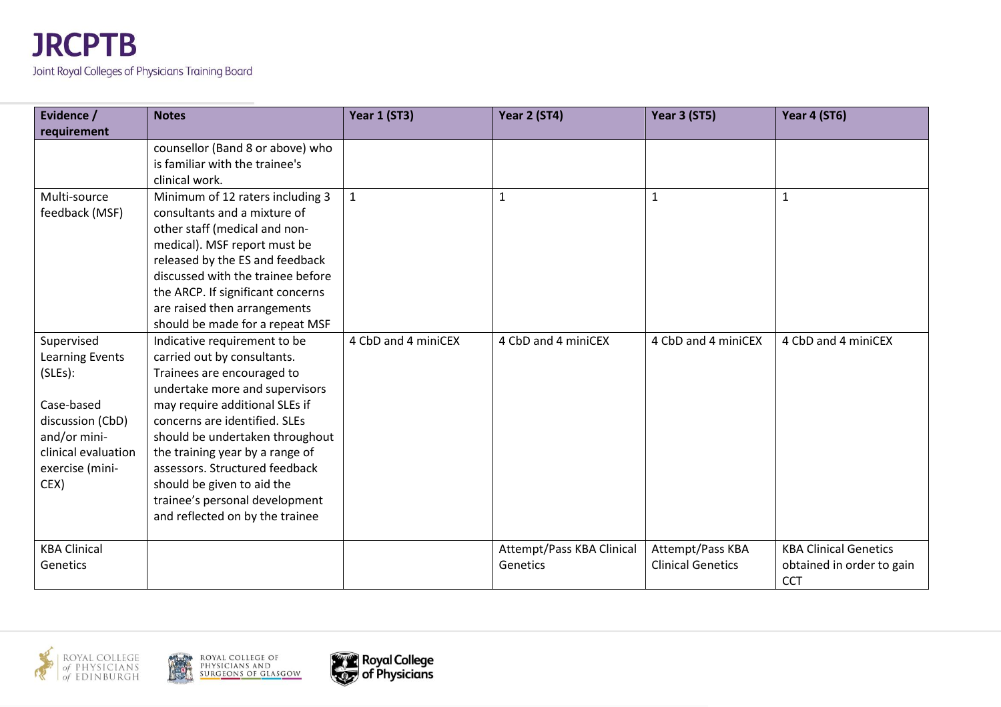

| Evidence /             | <b>Notes</b>                      | <b>Year 1 (ST3)</b> | Year 2 (ST4)              | <b>Year 3 (ST5)</b>      | Year 4 (ST6)                 |
|------------------------|-----------------------------------|---------------------|---------------------------|--------------------------|------------------------------|
| requirement            |                                   |                     |                           |                          |                              |
|                        | counsellor (Band 8 or above) who  |                     |                           |                          |                              |
|                        | is familiar with the trainee's    |                     |                           |                          |                              |
|                        | clinical work.                    |                     |                           |                          |                              |
| Multi-source           | Minimum of 12 raters including 3  | $\mathbf{1}$        | $\mathbf{1}$              | $\mathbf{1}$             | $\mathbf 1$                  |
| feedback (MSF)         | consultants and a mixture of      |                     |                           |                          |                              |
|                        | other staff (medical and non-     |                     |                           |                          |                              |
|                        | medical). MSF report must be      |                     |                           |                          |                              |
|                        | released by the ES and feedback   |                     |                           |                          |                              |
|                        | discussed with the trainee before |                     |                           |                          |                              |
|                        | the ARCP. If significant concerns |                     |                           |                          |                              |
|                        | are raised then arrangements      |                     |                           |                          |                              |
|                        | should be made for a repeat MSF   |                     |                           |                          |                              |
| Supervised             | Indicative requirement to be      | 4 CbD and 4 miniCEX | 4 CbD and 4 miniCEX       | 4 CbD and 4 miniCEX      | 4 CbD and 4 miniCEX          |
| <b>Learning Events</b> | carried out by consultants.       |                     |                           |                          |                              |
| (SLES):                | Trainees are encouraged to        |                     |                           |                          |                              |
|                        | undertake more and supervisors    |                     |                           |                          |                              |
| Case-based             | may require additional SLEs if    |                     |                           |                          |                              |
| discussion (CbD)       | concerns are identified. SLEs     |                     |                           |                          |                              |
| and/or mini-           | should be undertaken throughout   |                     |                           |                          |                              |
| clinical evaluation    | the training year by a range of   |                     |                           |                          |                              |
| exercise (mini-        | assessors. Structured feedback    |                     |                           |                          |                              |
| CEX)                   | should be given to aid the        |                     |                           |                          |                              |
|                        | trainee's personal development    |                     |                           |                          |                              |
|                        | and reflected on by the trainee   |                     |                           |                          |                              |
| <b>KBA Clinical</b>    |                                   |                     | Attempt/Pass KBA Clinical | Attempt/Pass KBA         | <b>KBA Clinical Genetics</b> |
| Genetics               |                                   |                     | Genetics                  | <b>Clinical Genetics</b> | obtained in order to gain    |
|                        |                                   |                     |                           |                          | <b>CCT</b>                   |





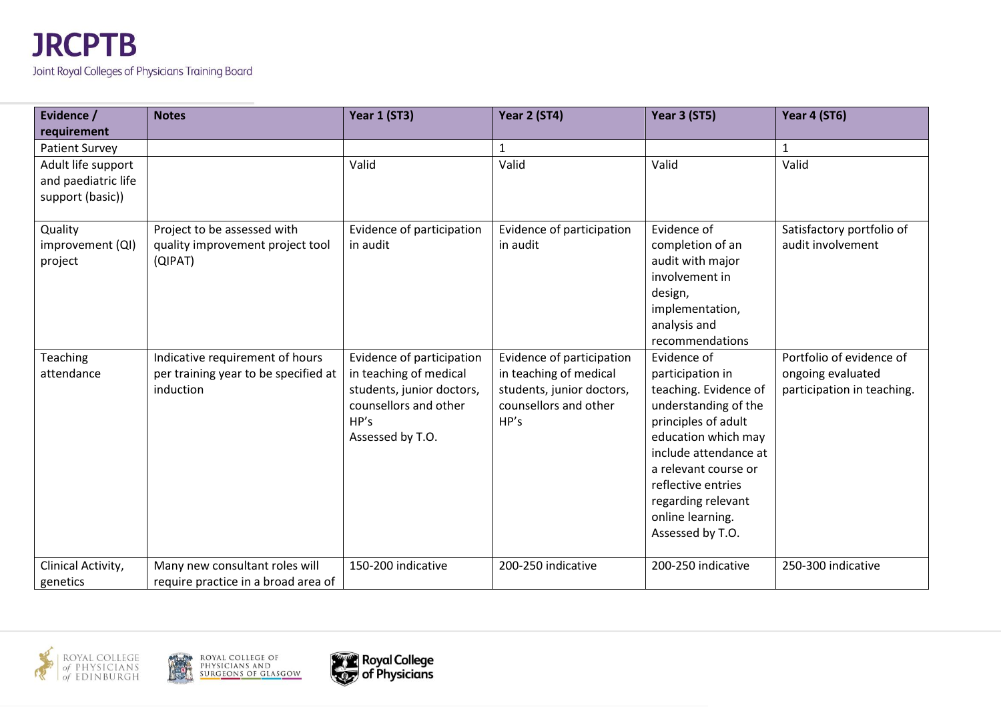

| Evidence /            | <b>Notes</b>                         | Year 1 (ST3)              | Year 2 (ST4)              | <b>Year 3 (ST5)</b>             | Year 4 (ST6)               |
|-----------------------|--------------------------------------|---------------------------|---------------------------|---------------------------------|----------------------------|
| requirement           |                                      |                           |                           |                                 |                            |
| <b>Patient Survey</b> |                                      |                           | 1                         |                                 | 1                          |
| Adult life support    |                                      | Valid                     | Valid                     | Valid                           | Valid                      |
| and paediatric life   |                                      |                           |                           |                                 |                            |
| support (basic))      |                                      |                           |                           |                                 |                            |
|                       |                                      |                           |                           |                                 |                            |
| Quality               | Project to be assessed with          | Evidence of participation | Evidence of participation | Evidence of                     | Satisfactory portfolio of  |
| improvement (QI)      | quality improvement project tool     | in audit                  | in audit                  | completion of an                | audit involvement          |
| project               | (QIPAT)                              |                           |                           | audit with major                |                            |
|                       |                                      |                           |                           | involvement in                  |                            |
|                       |                                      |                           |                           | design,                         |                            |
|                       |                                      |                           |                           | implementation,<br>analysis and |                            |
|                       |                                      |                           |                           | recommendations                 |                            |
| <b>Teaching</b>       | Indicative requirement of hours      | Evidence of participation | Evidence of participation | Evidence of                     | Portfolio of evidence of   |
| attendance            | per training year to be specified at | in teaching of medical    | in teaching of medical    | participation in                | ongoing evaluated          |
|                       | induction                            | students, junior doctors, | students, junior doctors, | teaching. Evidence of           | participation in teaching. |
|                       |                                      | counsellors and other     | counsellors and other     | understanding of the            |                            |
|                       |                                      | HP's                      | HP's                      | principles of adult             |                            |
|                       |                                      | Assessed by T.O.          |                           | education which may             |                            |
|                       |                                      |                           |                           | include attendance at           |                            |
|                       |                                      |                           |                           | a relevant course or            |                            |
|                       |                                      |                           |                           | reflective entries              |                            |
|                       |                                      |                           |                           | regarding relevant              |                            |
|                       |                                      |                           |                           | online learning.                |                            |
|                       |                                      |                           |                           | Assessed by T.O.                |                            |
|                       |                                      |                           |                           |                                 |                            |
| Clinical Activity,    | Many new consultant roles will       | 150-200 indicative        | 200-250 indicative        | 200-250 indicative              | 250-300 indicative         |
| genetics              | require practice in a broad area of  |                           |                           |                                 |                            |



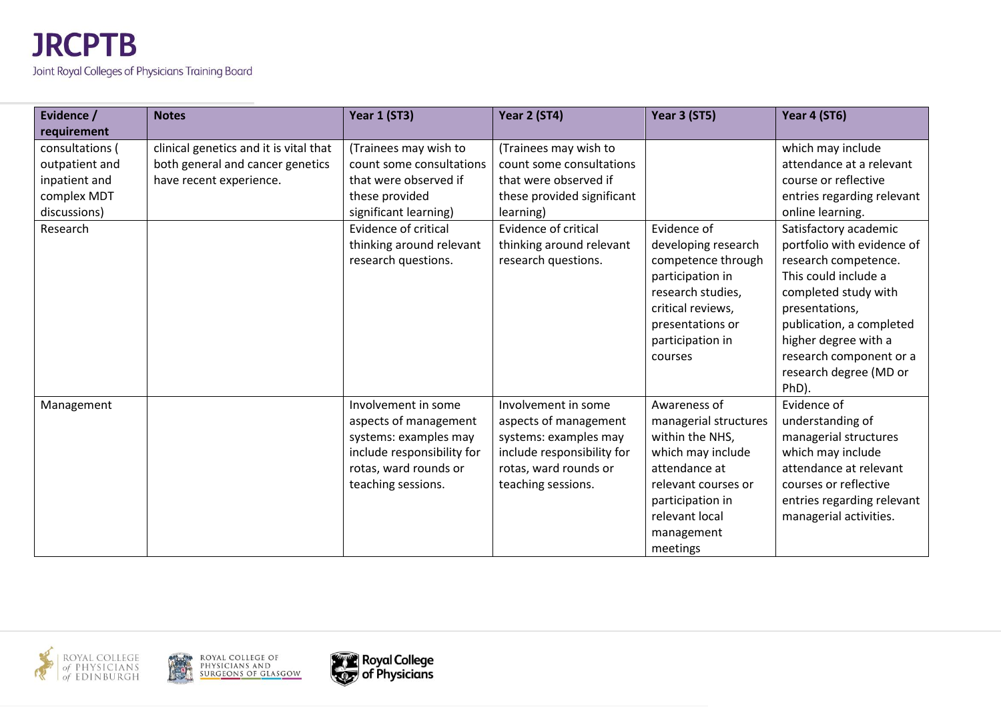| Evidence /      | <b>Notes</b>                           | Year 1 (ST3)                | Year 2 (ST4)                | Year 3 (ST5)          | Year 4 (ST6)               |  |
|-----------------|----------------------------------------|-----------------------------|-----------------------------|-----------------------|----------------------------|--|
| requirement     |                                        |                             |                             |                       |                            |  |
| consultations ( | clinical genetics and it is vital that | (Trainees may wish to       | (Trainees may wish to       |                       | which may include          |  |
| outpatient and  | both general and cancer genetics       | count some consultations    | count some consultations    |                       | attendance at a relevant   |  |
| inpatient and   | have recent experience.                | that were observed if       | that were observed if       |                       | course or reflective       |  |
| complex MDT     |                                        | these provided              | these provided significant  |                       | entries regarding relevant |  |
| discussions)    |                                        | significant learning)       | learning)                   |                       | online learning.           |  |
| Research        |                                        | <b>Evidence of critical</b> | <b>Evidence of critical</b> | Evidence of           | Satisfactory academic      |  |
|                 |                                        | thinking around relevant    | thinking around relevant    | developing research   | portfolio with evidence of |  |
|                 |                                        | research questions.         | research questions.         | competence through    | research competence.       |  |
|                 |                                        |                             |                             | participation in      | This could include a       |  |
|                 |                                        |                             |                             | research studies,     | completed study with       |  |
|                 |                                        |                             |                             | critical reviews,     | presentations,             |  |
|                 |                                        |                             |                             | presentations or      | publication, a completed   |  |
|                 |                                        |                             |                             | participation in      | higher degree with a       |  |
|                 |                                        |                             |                             | courses               | research component or a    |  |
|                 |                                        |                             |                             |                       | research degree (MD or     |  |
|                 |                                        |                             |                             |                       | PhD).                      |  |
| Management      |                                        | Involvement in some         | Involvement in some         | Awareness of          | Evidence of                |  |
|                 |                                        | aspects of management       | aspects of management       | managerial structures | understanding of           |  |
|                 |                                        | systems: examples may       | systems: examples may       | within the NHS,       | managerial structures      |  |
|                 |                                        | include responsibility for  | include responsibility for  | which may include     | which may include          |  |
|                 |                                        | rotas, ward rounds or       | rotas, ward rounds or       | attendance at         | attendance at relevant     |  |
|                 |                                        | teaching sessions.          | teaching sessions.          | relevant courses or   | courses or reflective      |  |
|                 |                                        |                             |                             | participation in      | entries regarding relevant |  |
|                 |                                        |                             |                             | relevant local        | managerial activities.     |  |
|                 |                                        |                             |                             | management            |                            |  |
|                 |                                        |                             |                             | meetings              |                            |  |





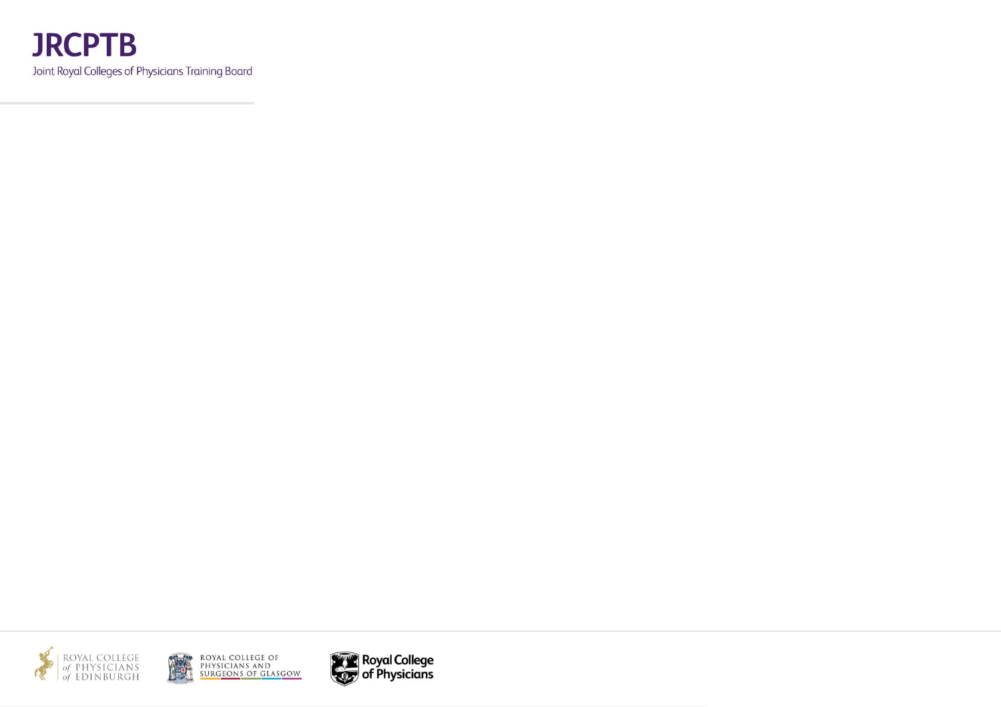